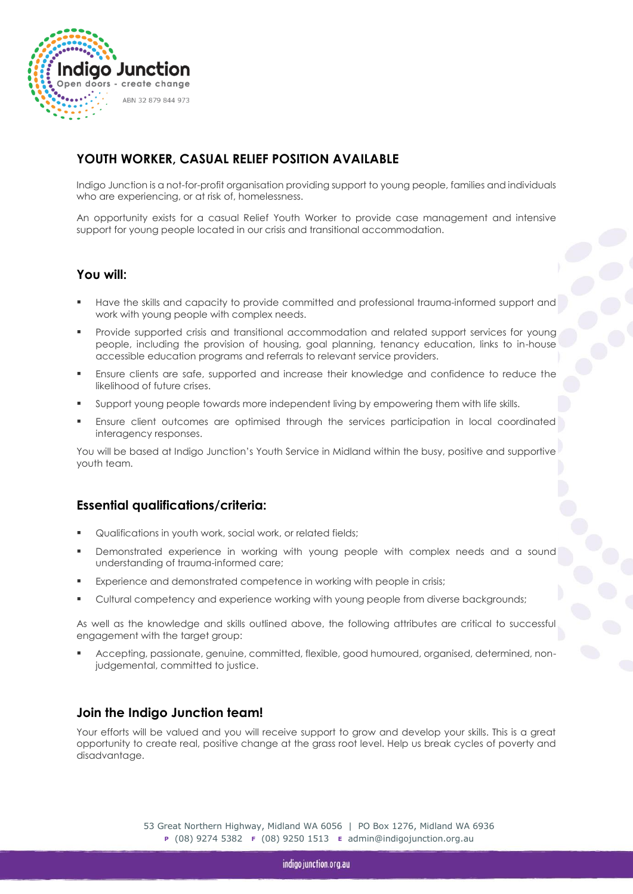

# **YOUTH WORKER, CASUAL RELIEF POSITION AVAILABLE**

Indigo Junction is a not-for-profit organisation providing support to young people, families and individuals who are experiencing, or at risk of, homelessness.

An opportunity exists for a casual Relief Youth Worker to provide case management and intensive support for young people located in our crisis and transitional accommodation.

### **You will:**

- Have the skills and capacity to provide committed and professional trauma-informed support and work with young people with complex needs.
- Provide supported crisis and transitional accommodation and related support services for young people, including the provision of housing, goal planning, tenancy education, links to in-house accessible education programs and referrals to relevant service providers.
- Ensure clients are safe, supported and increase their knowledge and confidence to reduce the likelihood of future crises.
- Support young people towards more independent living by empowering them with life skills.
- Ensure client outcomes are optimised through the services participation in local coordinated interagency responses.

You will be based at Indigo Junction's Youth Service in Midland within the busy, positive and supportive youth team.

### **Essential qualifications/criteria:**

- Qualifications in youth work, social work, or related fields;
- Demonstrated experience in working with young people with complex needs and a sound understanding of trauma-informed care;
- Experience and demonstrated competence in working with people in crisis;
- Cultural competency and experience working with young people from diverse backgrounds;

As well as the knowledge and skills outlined above, the following attributes are critical to successful engagement with the target group:

 Accepting, passionate, genuine, committed, flexible, good humoured, organised, determined, nonjudgemental, committed to justice.

### **Join the Indigo Junction team!**

Your efforts will be valued and you will receive support to grow and develop your skills. This is a great opportunity to create real, positive change at the grass root level. Help us break cycles of poverty and disadvantage.

> 53 Great Northern Highway, Midland WA 6056 | PO Box 1276, Midland WA 6936 **<sup>P</sup>** (08) 9274 5382 **F** (08) 9250 1513 **<sup>E</sup>** admin@indigojunction.org.au